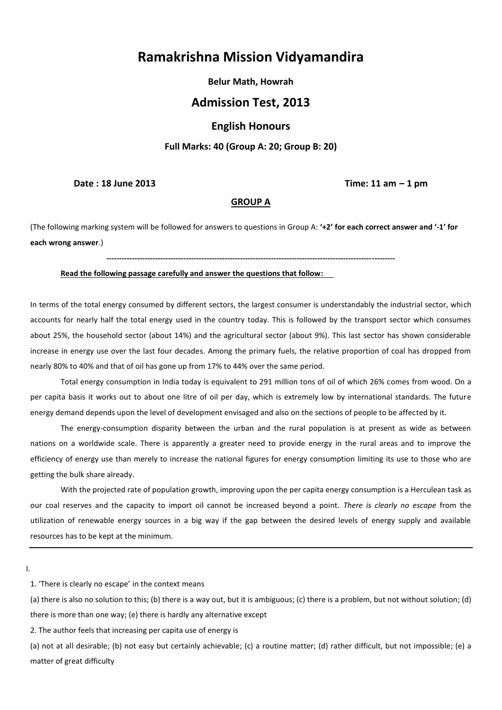# **Ramakrishna Mission Vidyamandira**

**Belur Math, Howrah**

# **Admission Test, 2013**

# **English Honours**

### **Full Marks: 40 (Group A: 20; Group B: 20)**

**Date : 18 June 2013 Time: 11 am – 1 pm**

#### **GROUP A**

(The following marking system will be followed for answers to questions in Group A: **'+2' for each correct answer and '-1' for each wrong answer**.)

**----------------------------------------------------------------------------------------------------------------**

#### **Read the following passage carefully and answer the questions that follow:**

In terms of the total energy consumed by different sectors, the largest consumer is understandably the industrial sector, which accounts for nearly half the total energy used in the country today. This is followed by the transport sector which consumes about 25%, the household sector (about 14%) and the agricultural sector (about 9%). This last sector has shown considerable increase in energy use over the last four decades. Among the primary fuels, the relative proportion of coal has dropped from nearly 80% to 40% and that of oil has gone up from 17% to 44% over the same period.

Total energy consumption in India today is equivalent to 291 million tons of oil of which 26% comes from wood. On a per capita basis it works out to about one litre of oil per day, which is extremely low by international standards. The future energy demand depends upon the level of development envisaged and also on the sections of people to be affected by it.

The energy-consumption disparity between the urban and the rural population is at present as wide as between nations on a worldwide scale. There is apparently a greater need to provide energy in the rural areas and to improve the efficiency of energy use than merely to increase the national figures for energy consumption limiting its use to those who are getting the bulk share already.

With the projected rate of population growth, improving upon the per capita energy consumption is a Herculean task as our coal reserves and the capacity to import oil cannot be increased beyond a point. *There is clearly no escape* from the utilization of renewable energy sources in a big way if the gap between the desired levels of energy supply and available resources has to be kept at the minimum.

I.

1. 'There is clearly no escape' in the context means

(a) there is also no solution to this; (b) there is a way out, but it is ambiguous; (c) there is a problem, but not without solution; (d) there is more than one way; (e) there is hardly any alternative except

2. The author feels that increasing per capita use of energy is

(a) not at all desirable; (b) not easy but certainly achievable; (c) a routine matter; (d) rather difficult, but not impossible; (e) a matter of great difficulty